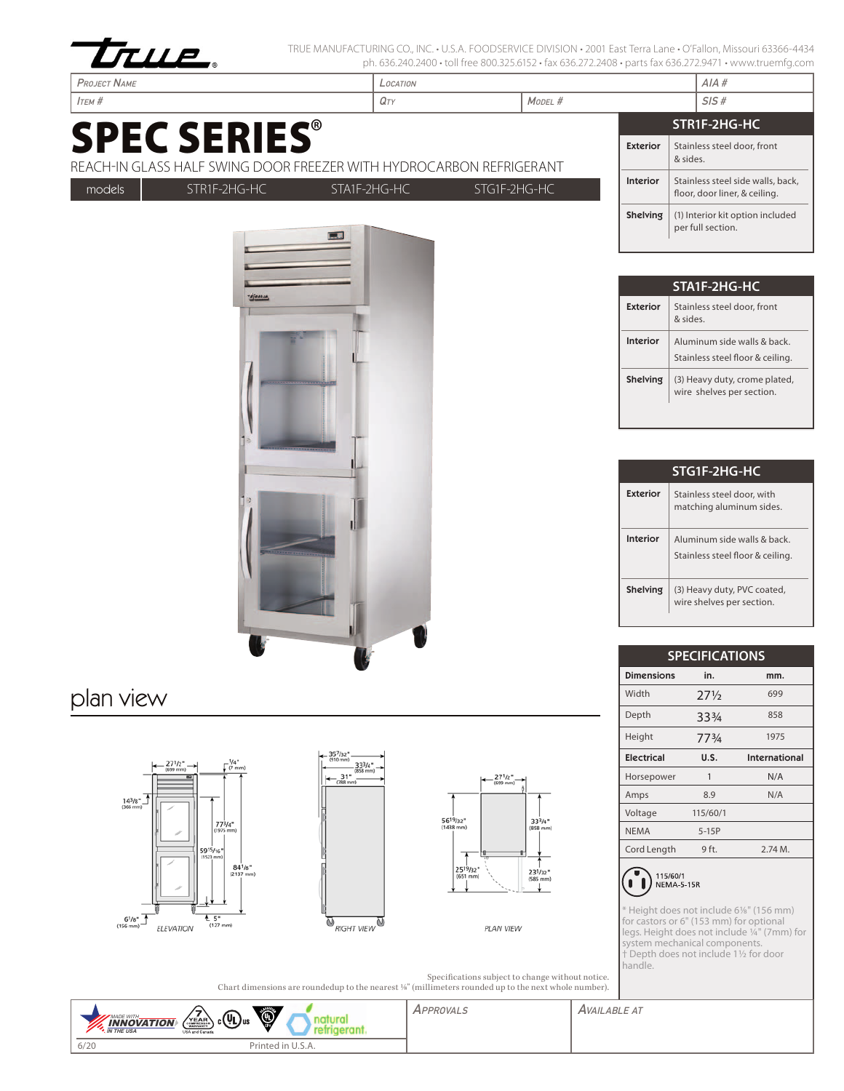

- France т

TRUE MANUFACTURING CO., INC. • U.S.A. FOODSERVICE DIVISION • 2001 East Terra Lane • O'Fallon, Missouri 63366-4434 ph. 636.240.2400 • toll free 800.325.6152 • fax 636.272.2408 • parts fax 636.272.9471 • www.truemfg.com

| <b>PROJECT NAME</b>                                                                        |              | LOCATION     |              |            |                 | AIA#                                                               |
|--------------------------------------------------------------------------------------------|--------------|--------------|--------------|------------|-----------------|--------------------------------------------------------------------|
| $I$ TEM $#$                                                                                |              | $Q_{TY}$     |              | $M$ ODEL # |                 | SIS#                                                               |
|                                                                                            |              |              |              |            |                 | STR1F-2HG-HC                                                       |
| <b>SPEC SERIES®</b><br>REACH-IN GLASS HALF SWING DOOR FREEZER WITH HYDROCARBON REFRIGERANT |              |              |              |            | <b>Exterior</b> | Stainless steel door, front<br>& sides.                            |
| models                                                                                     | STR1F-2HG-HC | STA1F-2HG-HC | STG1F-2HG-HC |            | <b>Interior</b> | Stainless steel side walls, back,<br>floor, door liner, & ceiling. |
|                                                                                            |              |              |              |            | Shelving        | (1) Interior kit option included<br>per full section.              |

| STA1F-2HG-HC    |                                                                |  |  |  |  |
|-----------------|----------------------------------------------------------------|--|--|--|--|
| Exterior        | Stainless steel door, front<br>aniz &                          |  |  |  |  |
| <b>Interior</b> | Aluminum side walls & back<br>Stainless steel floor & ceiling. |  |  |  |  |
| <b>Shelving</b> | (3) Heavy duty, crome plated,<br>wire shelves per section.     |  |  |  |  |

| STG1F-2HG-HC |                                                                |  |  |  |  |
|--------------|----------------------------------------------------------------|--|--|--|--|
| Exterior     | Stainless steel door, with<br>matching aluminum sides.         |  |  |  |  |
| Interior     | Aluminum side walls & back<br>Stainless steel floor & ceiling. |  |  |  |  |
| Shelving     | (3) Heavy duty, PVC coated,<br>wire shelves per section.       |  |  |  |  |

| <b>SPECIFICATIONS</b>           |                 |               |  |  |  |  |  |
|---------------------------------|-----------------|---------------|--|--|--|--|--|
| <b>Dimensions</b><br>in.<br>mm. |                 |               |  |  |  |  |  |
| Width                           | $27\frac{1}{2}$ | 699           |  |  |  |  |  |
| Depth                           | 334             | 858           |  |  |  |  |  |
| Height                          | 773/4           | 1975          |  |  |  |  |  |
| <b>Electrical</b>               | U.S.            | International |  |  |  |  |  |
| Horsepower                      | 1               | N/A           |  |  |  |  |  |
| Amps                            | 8.9             | N/A           |  |  |  |  |  |
| Voltage                         | 115/60/1        |               |  |  |  |  |  |
| <b>NEMA</b>                     | $5-15P$         |               |  |  |  |  |  |
| Cord Length                     | 9 ft.           | 2.74M.        |  |  |  |  |  |
|                                 |                 |               |  |  |  |  |  |



\* Height does not include 61/8" (156 mm) for castors or 6" (153 mm) for optional legs. Height does not include 1/4" (7mm) for system mechanical components. † Depth does not include 11/2 for door handle.

|                                                                                                     | Specifications subject to change without notice. |
|-----------------------------------------------------------------------------------------------------|--------------------------------------------------|
| Chart dimensions are roundedup to the nearest %" (millimeters rounded up to the next whole number). |                                                  |

| $\left(\frac{V_{EAB}}{V_{EAB}}\right)$ c $(U_{L})$ us<br>MADE WITH.<br><b>INNOVATION</b><br><b>A. IN THE USA</b><br>USA and Canada | ۱                 | PPROVAL <sub>&gt;</sub> | <b>AVAILABLE AT</b> |
|------------------------------------------------------------------------------------------------------------------------------------|-------------------|-------------------------|---------------------|
| 6/20                                                                                                                               | Printed in U.S.A. |                         |                     |









PLAN VIEW